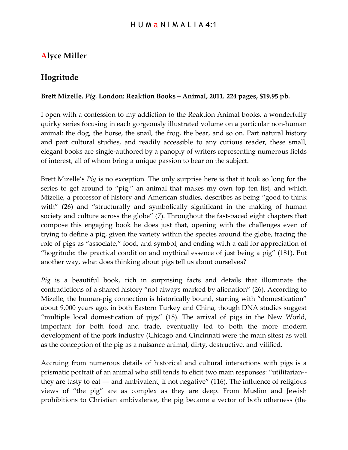## H U M a N I M A L I A 4:1

## **Alyce Miller**

## **Hogritude**

## **Brett Mizelle.** *Pig.* **London: Reaktion Books – Animal, 2011. 224 pages, \$19.95 pb.**

I open with a confession to my addiction to the Reaktion Animal books, a wonderfully quirky series focusing in each gorgeously illustrated volume on a particular non-human animal: the dog, the horse, the snail, the frog, the bear, and so on. Part natural history and part cultural studies, and readily accessible to any curious reader, these small, elegant books are single-authored by a panoply of writers representing numerous fields of interest, all of whom bring a unique passion to bear on the subject.

Brett Mizelle's *Pig* is no exception. The only surprise here is that it took so long for the series to get around to "pig," an animal that makes my own top ten list, and which Mizelle, a professor of history and American studies, describes as being "good to think with" (26) and "structurally and symbolically significant in the making of human society and culture across the globe" (7). Throughout the fast-paced eight chapters that compose this engaging book he does just that, opening with the challenges even of trying to define a pig, given the variety within the species around the globe, tracing the role of pigs as "associate," food, and symbol, and ending with a call for appreciation of "hogritude: the practical condition and mythical essence of just being a pig" (181). Put another way, what does thinking about pigs tell us about ourselves?

*Pig* is a beautiful book, rich in surprising facts and details that illuminate the contradictions of a shared history "not always marked by alienation" (26). According to Mizelle, the human-pig connection is historically bound, starting with "domestication" about 9,000 years ago, in both Eastern Turkey and China, though DNA studies suggest "multiple local domestication of pigs" (18). The arrival of pigs in the New World, important for both food and trade, eventually led to both the more modern development of the pork industry (Chicago and Cincinnati were the main sites) as well as the conception of the pig as a nuisance animal, dirty, destructive, and vilified.

Accruing from numerous details of historical and cultural interactions with pigs is a prismatic portrait of an animal who still tends to elicit two main responses: "utilitarian- they are tasty to eat — and ambivalent, if not negative"  $(116)$ . The influence of religious views of "the pig" are as complex as they are deep. From Muslim and Jewish prohibitions to Christian ambivalence, the pig became a vector of both otherness (the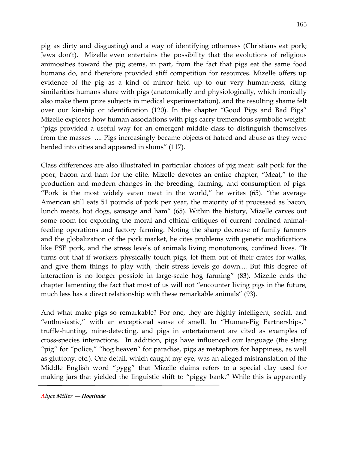pig as dirty and disgusting) and a way of identifying otherness (Christians eat pork; Jews don't). Mizelle even entertains the possibility that the evolutions of religious animosities toward the pig stems, in part, from the fact that pigs eat the same food humans do, and therefore provided stiff competition for resources. Mizelle offers up evidence of the pig as a kind of mirror held up to our very human-ness, citing similarities humans share with pigs (anatomically and physiologically, which ironically also make them prize subjects in medical experimentation), and the resulting shame felt over our kinship or identification (120). In the chapter "Good Pigs and Bad Pigs" Mizelle explores how human associations with pigs carry tremendous symbolic weight: "pigs provided a useful way for an emergent middle class to distinguish themselves from the masses .... Pigs increasingly became objects of hatred and abuse as they were herded into cities and appeared in slums" (117).

Class differences are also illustrated in particular choices of pig meat: salt pork for the poor, bacon and ham for the elite. Mizelle devotes an entire chapter, "Meat," to the production and modern changes in the breeding, farming, and consumption of pigs. "Pork is the most widely eaten meat in the world," he writes (65). "the average American still eats 51 pounds of pork per year, the majority of it processed as bacon, lunch meats, hot dogs, sausage and ham" (65). Within the history, Mizelle carves out some room for exploring the moral and ethical critiques of current confined animalfeeding operations and factory farming. Noting the sharp decrease of family farmers and the globalization of the pork market, he cites problems with genetic modifications like PSE pork, and the stress levels of animals living monotonous, confined lives. "It turns out that if workers physically touch pigs, let them out of their crates for walks, and give them things to play with, their stress levels go down.... But this degree of interaction is no longer possible in large-scale hog farming" (83). Mizelle ends the chapter lamenting the fact that most of us will not "encounter living pigs in the future, much less has a direct relationship with these remarkable animals" (93).

And what make pigs so remarkable? For one, they are highly intelligent, social, and "enthusiastic," with an exceptional sense of smell. In "Human-Pig Partnerships," truffle-hunting, mine-detecting, and pigs in entertainment are cited as examples of cross-species interactions. In addition, pigs have influenced our language (the slang "pig" for "police," "hog heaven" for paradise, pigs as metaphors for happiness, as well as gluttony, etc.). One detail, which caught my eye, was an alleged mistranslation of the Middle English word "pygg" that Mizelle claims refers to a special clay used for making jars that yielded the linguistic shift to "piggy bank." While this is apparently

*Alyce Miller — Hogritude*